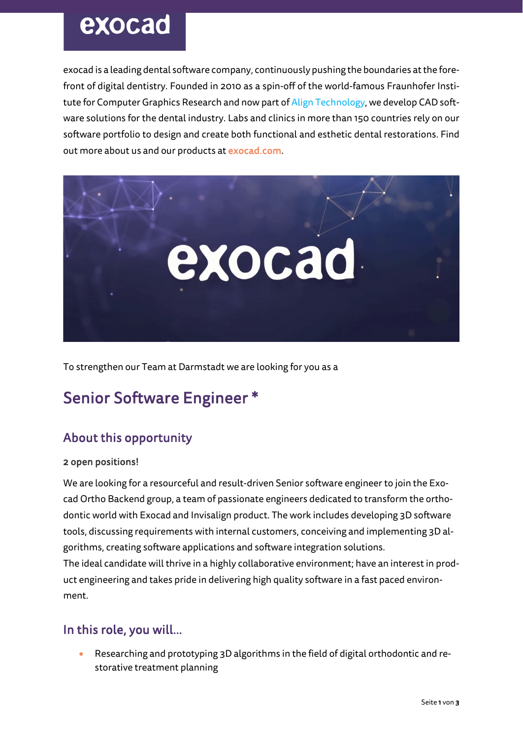# exocad

exocad is a leading dental software company, continuously pushing the boundaries at the forefront of digital dentistry. Founded in 2010 as a spin-off of the world-famous Fraunhofer Institute for Computer Graphics Research and now part of Align Technology, we develop CAD software solutions for the dental industry. Labs and clinics in more than 150 countries rely on our software portfolio to design and create both functional and esthetic dental restorations. Find out more about us and our products at exocad.com.



To strengthen our Team at Darmstadt we are looking for you as a

### Senior Software Engineer \*

### About this opportunity

#### 2 open positions!

We are looking for a resourceful and result-driven Senior software engineer to join the Exocad Ortho Backend group, a team of passionate engineers dedicated to transform the orthodontic world with Exocad and Invisalign product. The work includes developing 3D software tools, discussing requirements with internal customers, conceiving and implementing 3D algorithms, creating software applications and software integration solutions.

The ideal candidate will thrive in a highly collaborative environment; have an interest in product engineering and takes pride in delivering high quality software in a fast paced environment.

#### In this role, you will…

• Researching and prototyping 3D algorithms in the field of digital orthodontic and restorative treatment planning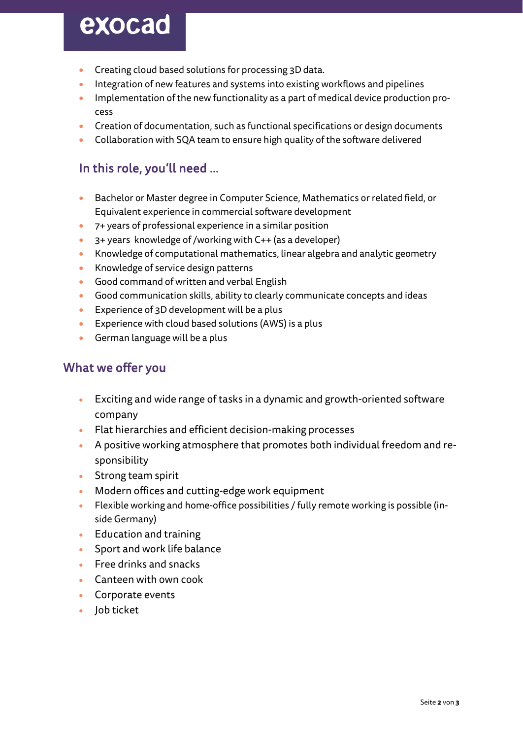## exocad

- Creating cloud based solutions for processing 3D data.
- Integration of new features and systems into existing workflows and pipelines
- Implementation of the new functionality as a part of medical device production process
- Creation of documentation, such as functional specifications or design documents
- Collaboration with SQA team to ensure high quality of the software delivered

### In this role, you'll need …

- Bachelor or Master degree in Computer Science, Mathematics or related field, or Equivalent experience in commercial software development
- 7+ years of professional experience in a similar position
- 3+ years knowledge of /working with C++ (as a developer)
- Knowledge of computational mathematics, linear algebra and analytic geometry
- Knowledge of service design patterns
- Good command of written and verbal English
- Good communication skills, ability to clearly communicate concepts and ideas
- Experience of 3D development will be a plus
- Experience with cloud based solutions (AWS) is a plus
- German language will be a plus

#### What we offer you

- Exciting and wide range of tasks in a dynamic and growth-oriented software company
- Flat hierarchies and efficient decision-making processes
- A positive working atmosphere that promotes both individual freedom and responsibility
- Strong team spirit
- Modern offices and cutting-edge work equipment
- Flexible working and home-office possibilities / fully remote working is possible (inside Germany)
- Education and training
- Sport and work life balance
- Free drinks and snacks
- Canteen with own cook
- Corporate events
- Job ticket